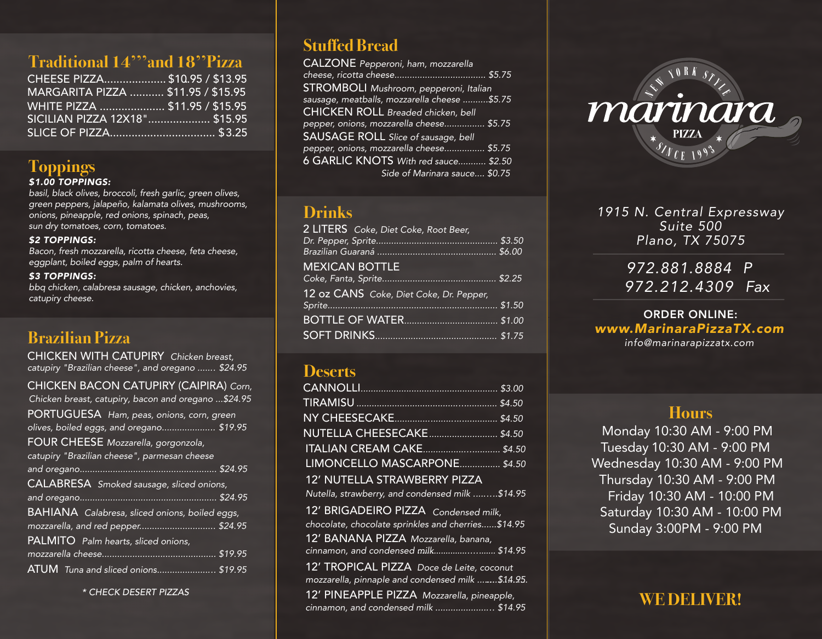## **Traditional 14'''and 18''Pizza**

| CHEESE PIZZA \$10.95 / \$13.95     |  |
|------------------------------------|--|
| MARGARITA PIZZA  \$11.95 / \$15.95 |  |
| WHITE PIZZA  \$11.95 / \$15.95     |  |
| SICILIAN PIZZA 12X18" \$15.95      |  |
|                                    |  |

# **Toppings**

#### *\$1.00 TOPPINGS:*

*basil, black olives, broccoli, fresh garlic, green olives, green peppers, jalapeño, kalamata olives, mushrooms, onions, pineapple, red onions, spinach, peas, sun dry tomatoes, corn, tomatoes.*

#### *\$2 TOPPINGS:*

*Bacon, fresh mozzarella, ricotta cheese, feta cheese, eggplant, boiled eggs, palm of hearts.* 

#### *\$3 TOPPINGS:*

*bbq chicken, calabresa sausage, chicken, anchovies, catupiry cheese.*

## **Brazilian Pizza**

CHICKEN WITH CATUPIRY *Chicken breast, catupiry "Brazilian cheese", and oregano ....... \$24.95*

| CHICKEN BACON CATUPIRY (CAIPIRA) Corn,                |
|-------------------------------------------------------|
| Chicken breast, catupiry, bacon and oregano \$24.95   |
| PORTUGUESA Ham, peas, onions, corn, green             |
| olives, boiled eggs, and oregano \$19.95              |
| FOUR CHEESE Mozzarella, gorgonzola,                   |
| catupiry "Brazilian cheese", parmesan cheese          |
|                                                       |
| CALABRESA Smoked sausage, sliced onions,              |
|                                                       |
| <b>BAHIANA</b> Calabresa, sliced onions, boiled eggs, |
| mozzarella, and red pepper \$24.95                    |
| PALMITO Palm hearts, sliced onions,                   |
|                                                       |
| ATUM Tuna and sliced onions \$19.95                   |
|                                                       |

*\* CHECK DESERT PIZZAS*

## **Stuffed Bread**

| <b>CALZONE</b> Pepperoni, ham, mozzarella     |
|-----------------------------------------------|
|                                               |
| <b>STROMBOLI</b> Mushroom, pepperoni, Italian |
| sausage, meatballs, mozzarella cheese \$5.75  |
| <b>CHICKEN ROLL Breaded chicken, bell</b>     |
| pepper, onions, mozzarella cheese \$5.75      |
| <b>SAUSAGE ROLL</b> Slice of sausage, bell    |
| pepper, onions, mozzarella cheese \$5.75      |
| 6 GARLIC KNOTS With red sauce \$2.50          |
| Side of Marinara sauce \$0.75                 |

#### **Drinks**

| 2 LITERS Coke, Diet Coke, Root Beer,    |  |
|-----------------------------------------|--|
|                                         |  |
|                                         |  |
| <b>MEXICAN BOTTLE</b>                   |  |
|                                         |  |
| 12 oz CANS Coke, Diet Coke, Dr. Pepper, |  |
|                                         |  |
|                                         |  |
|                                         |  |

#### **Deserts**

|                                                    | \$3.00 |
|----------------------------------------------------|--------|
|                                                    |        |
|                                                    |        |
|                                                    |        |
|                                                    |        |
| LIMONCELLO MASCARPONE \$4.50                       |        |
| 12' NUTELLA STRAWBERRY PIZZA                       |        |
| Nutella, strawberry, and condensed milk \$14.95    |        |
| 12' BRIGADEIRO PIZZA Condensed milk,               |        |
| chocolate, chocolate sprinkles and cherries\$14.95 |        |
| 12' BANANA PIZZA Mozzarella, banana,               |        |
| cinnamon, and condensed milk \$14.95               |        |
| 12' TROPICAL PIZZA Doce de Leite, coconut          |        |
| mozzarella, pinnaple and condensed milk \$14.95.   |        |

12' PINEAPPLE PIZZA *Mozzarella, pineapple, cinnamon, and condensed milk ....................... \$14.95*



#### *1915 N. Central Expressway Suite 500 Plano, TX 75075*

## *972.881.8884 P 972.212.4309 Fax*

#### *info@marinarapizzatx.com* ORDER ONLINE: *www.MarinaraPizzaTX.com*

#### **Hours**

Monday 10:30 AM - 9:00 PM Tuesday 10:30 AM - 9:00 PM Wednesday 10:30 AM - 9:00 PM Thursday 10:30 AM - 9:00 PM Friday 10:30 AM - 10:00 PM Saturday 10:30 AM - 10:00 PM Sunday 3:00PM - 9:00 PM

# **WE DELIVER!**